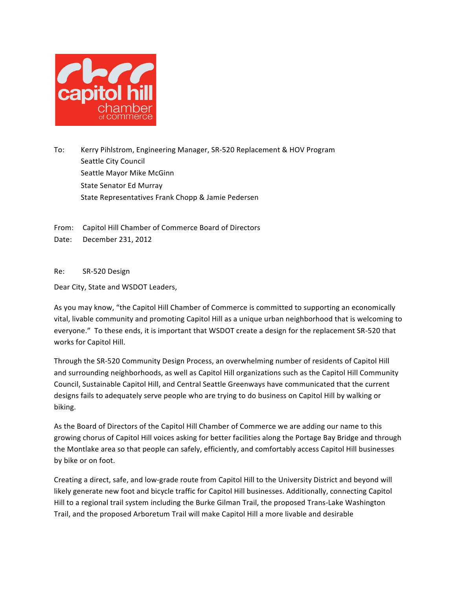

To: Kerry Pihlstrom, Engineering Manager, SR-520 Replacement & HOV Program Seattle City Council Seattle Mayor Mike McGinn State Senator Ed Murray State Representatives Frank Chopp & Jamie Pedersen

From: Capitol Hill Chamber of Commerce Board of Directors

Date: December 231, 2012

Re: SR-520 Design 

Dear City, State and WSDOT Leaders,

As you may know, "the Capitol Hill Chamber of Commerce is committed to supporting an economically vital, livable community and promoting Capitol Hill as a unique urban neighborhood that is welcoming to everyone." To these ends, it is important that WSDOT create a design for the replacement SR-520 that works for Capitol Hill.

Through the SR-520 Community Design Process, an overwhelming number of residents of Capitol Hill and surrounding neighborhoods, as well as Capitol Hill organizations such as the Capitol Hill Community Council, Sustainable Capitol Hill, and Central Seattle Greenways have communicated that the current designs fails to adequately serve people who are trying to do business on Capitol Hill by walking or biking. 

As the Board of Directors of the Capitol Hill Chamber of Commerce we are adding our name to this growing chorus of Capitol Hill voices asking for better facilities along the Portage Bay Bridge and through the Montlake area so that people can safely, efficiently, and comfortably access Capitol Hill businesses by bike or on foot.

Creating a direct, safe, and low-grade route from Capitol Hill to the University District and beyond will likely generate new foot and bicycle traffic for Capitol Hill businesses. Additionally, connecting Capitol Hill to a regional trail system including the Burke Gilman Trail, the proposed Trans-Lake Washington Trail, and the proposed Arboretum Trail will make Capitol Hill a more livable and desirable